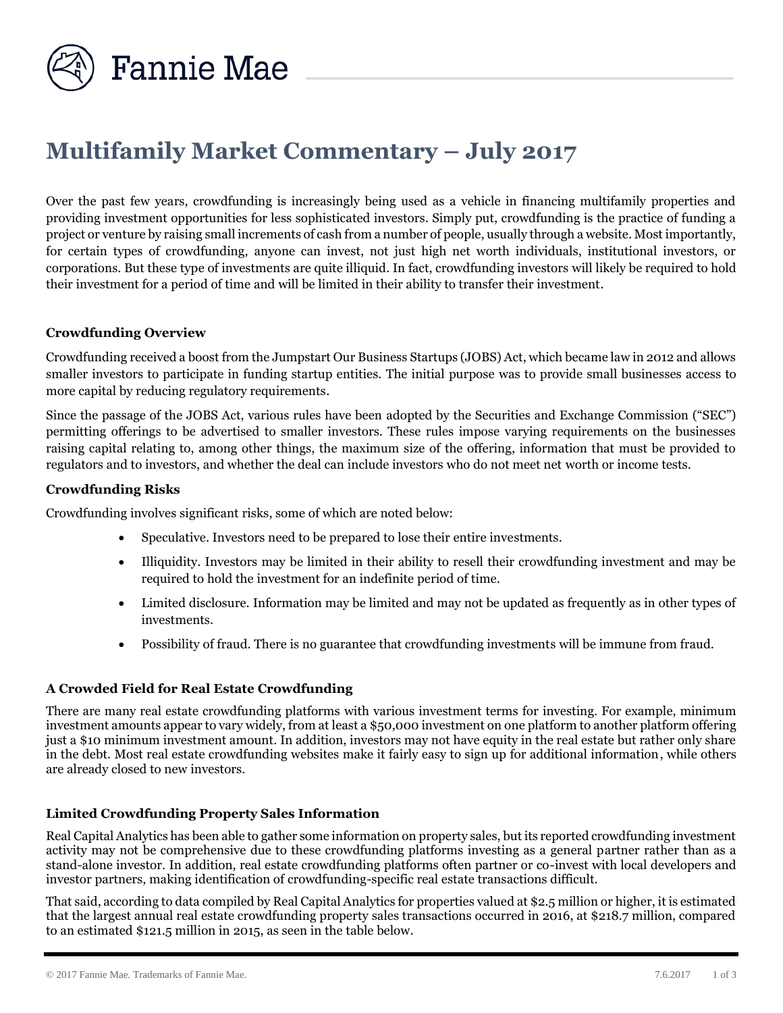

# **Multifamily Market Commentary – July 2017**

Over the past few years, crowdfunding is increasingly being used as a vehicle in financing multifamily properties and providing investment opportunities for less sophisticated investors. Simply put, crowdfunding is the practice of funding a project or venture by raising small increments of cash from a number of people, usually through a website. Most importantly, for certain types of crowdfunding, anyone can invest, not just high net worth individuals, institutional investors, or corporations. But these type of investments are quite illiquid. In fact, crowdfunding investors will likely be required to hold their investment for a period of time and will be limited in their ability to transfer their investment.

## **Crowdfunding Overview**

Crowdfunding received a boost from the Jumpstart Our Business Startups (JOBS) Act, which became law in 2012 and allows smaller investors to participate in funding startup entities. The initial purpose was to provide small businesses access to more capital by reducing regulatory requirements.

Since the passage of the JOBS Act, various rules have been adopted by the Securities and Exchange Commission ("SEC") permitting offerings to be advertised to smaller investors. These rules impose varying requirements on the businesses raising capital relating to, among other things, the maximum size of the offering, information that must be provided to regulators and to investors, and whether the deal can include investors who do not meet net worth or income tests.

## **Crowdfunding Risks**

Crowdfunding involves significant risks, some of which are noted below:

- Speculative. Investors need to be prepared to lose their entire investments.
- Illiquidity. Investors may be limited in their ability to resell their crowdfunding investment and may be required to hold the investment for an indefinite period of time.
- Limited disclosure. Information may be limited and may not be updated as frequently as in other types of investments.
- Possibility of fraud. There is no guarantee that crowdfunding investments will be immune from fraud.

#### **A Crowded Field for Real Estate Crowdfunding**

There are many real estate crowdfunding platforms with various investment terms for investing. For example, minimum investment amounts appear to vary widely, from at least a \$50,000 investment on one platform to another platform offering just a \$10 minimum investment amount. In addition, investors may not have equity in the real estate but rather only share in the debt. Most real estate crowdfunding websites make it fairly easy to sign up for additional information, while others are already closed to new investors.

#### **Limited Crowdfunding Property Sales Information**

Real Capital Analytics has been able to gather some information on property sales, but its reported crowdfunding investment activity may not be comprehensive due to these crowdfunding platforms investing as a general partner rather than as a stand-alone investor. In addition, real estate crowdfunding platforms often partner or co-invest with local developers and investor partners, making identification of crowdfunding-specific real estate transactions difficult.

That said, according to data compiled by Real Capital Analytics for properties valued at \$2.5 million or higher, it is estimated that the largest annual real estate crowdfunding property sales transactions occurred in 2016, at \$218.7 million, compared to an estimated \$121.5 million in 2015, as seen in the table below.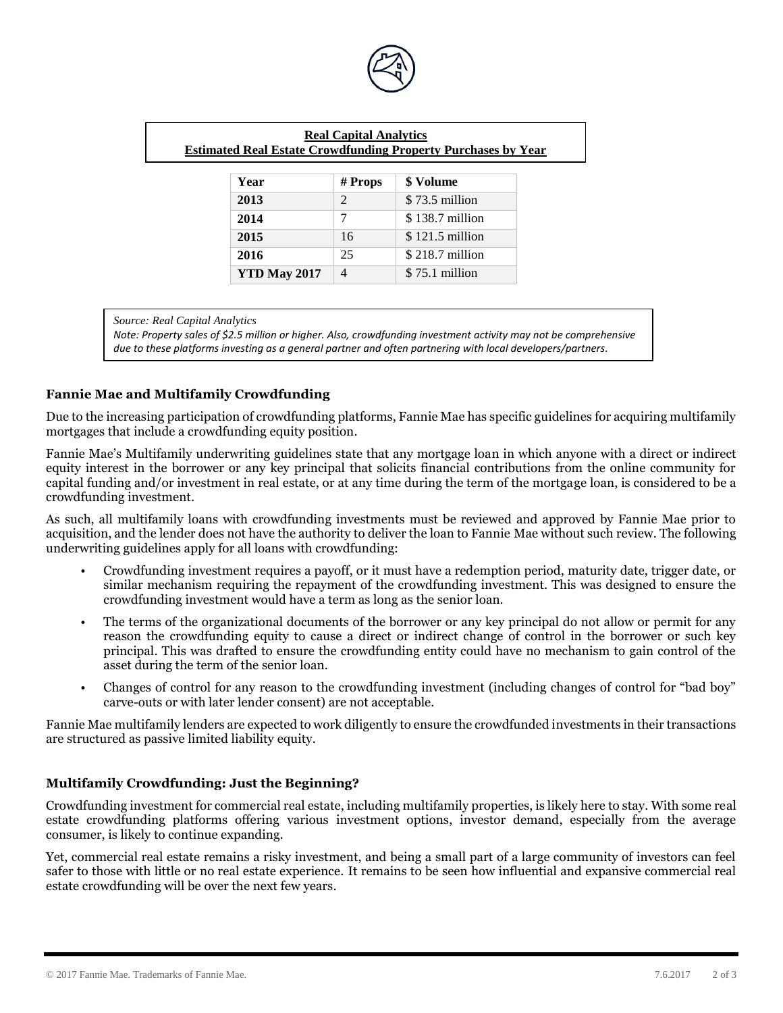

| <b>Real Capital Analytics</b><br><b>Estimated Real Estate Crowdfunding Property Purchases by Year</b> |                |                  |
|-------------------------------------------------------------------------------------------------------|----------------|------------------|
| Year                                                                                                  | $#$ Props      | \$ Volume        |
| 2013                                                                                                  | $\overline{2}$ | $$73.5$ million  |
| 2014                                                                                                  | 7              | \$138.7 million  |
| 2015                                                                                                  | 16             | $$121.5$ million |
| 2016                                                                                                  | 25             | $$218.7$ million |
| <b>YTD May 2017</b>                                                                                   | $\overline{4}$ | $$75.1$ million  |

*Source: Real Capital Analytics*

*Note: Property sales of \$2.5 million or higher. Also, crowdfunding investment activity may not be comprehensive due to these platforms investing as a general partner and often partnering with local developers/partners.*

## **Fannie Mae and Multifamily Crowdfunding**

Due to the increasing participation of crowdfunding platforms, Fannie Mae has specific guidelines for acquiring multifamily mortgages that include a crowdfunding equity position.

Fannie Mae's Multifamily underwriting guidelines state that any mortgage loan in which anyone with a direct or indirect equity interest in the borrower or any key principal that solicits financial contributions from the online community for capital funding and/or investment in real estate, or at any time during the term of the mortgage loan, is considered to be a crowdfunding investment.

As such, all multifamily loans with crowdfunding investments must be reviewed and approved by Fannie Mae prior to acquisition, and the lender does not have the authority to deliver the loan to Fannie Mae without such review. The following underwriting guidelines apply for all loans with crowdfunding:

- Crowdfunding investment requires a payoff, or it must have a redemption period, maturity date, trigger date, or similar mechanism requiring the repayment of the crowdfunding investment. This was designed to ensure the crowdfunding investment would have a term as long as the senior loan.
- The terms of the organizational documents of the borrower or any key principal do not allow or permit for any reason the crowdfunding equity to cause a direct or indirect change of control in the borrower or such key principal. This was drafted to ensure the crowdfunding entity could have no mechanism to gain control of the asset during the term of the senior loan.
- Changes of control for any reason to the crowdfunding investment (including changes of control for "bad boy" carve-outs or with later lender consent) are not acceptable.

Fannie Mae multifamily lenders are expected to work diligently to ensure the crowdfunded investments in their transactions are structured as passive limited liability equity.

# **Multifamily Crowdfunding: Just the Beginning?**

Crowdfunding investment for commercial real estate, including multifamily properties, is likely here to stay. With some real estate crowdfunding platforms offering various investment options, investor demand, especially from the average consumer, is likely to continue expanding.

Yet, commercial real estate remains a risky investment, and being a small part of a large community of investors can feel safer to those with little or no real estate experience. It remains to be seen how influential and expansive commercial real estate crowdfunding will be over the next few years.